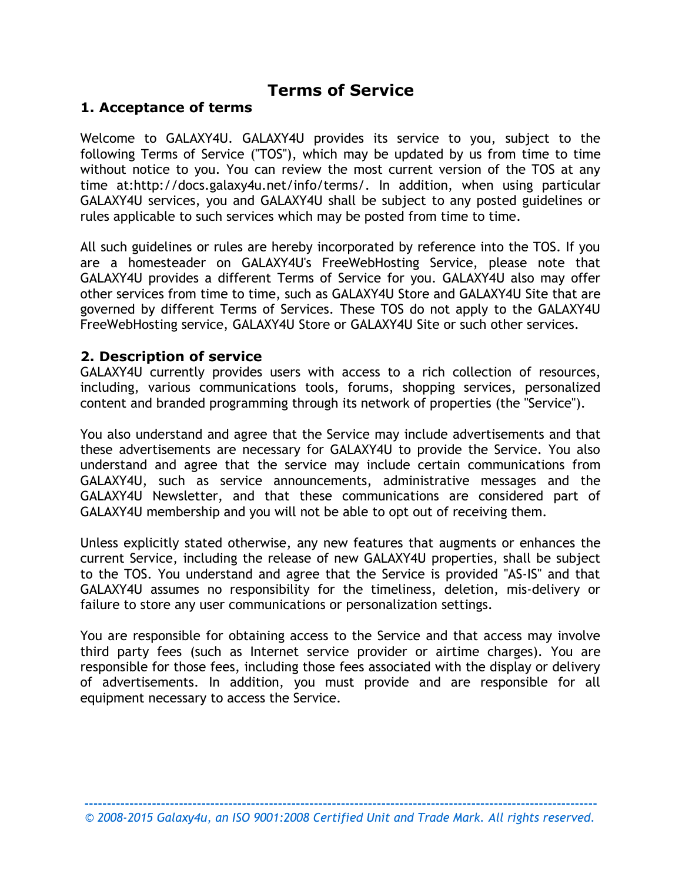# **Terms of Service**

#### **1. Acceptance of terms**

Welcome to GALAXY4U. GALAXY4U provides its service to you, subject to the following Terms of Service ("TOS"), which may be updated by us from time to time without notice to you. You can review the most current version of the TOS at any time at:http://docs.galaxy4u.net/info/terms/. In addition, when using particular GALAXY4U services, you and GALAXY4U shall be subject to any posted guidelines or rules applicable to such services which may be posted from time to time.

All such guidelines or rules are hereby incorporated by reference into the TOS. If you are a homesteader on GALAXY4U's FreeWebHosting Service, please note that GALAXY4U provides a different Terms of Service for you. GALAXY4U also may offer other services from time to time, such as GALAXY4U Store and GALAXY4U Site that are governed by different Terms of Services. These TOS do not apply to the GALAXY4U FreeWebHosting service, GALAXY4U Store or GALAXY4U Site or such other services.

#### **2. Description of service**

GALAXY4U currently provides users with access to a rich collection of resources, including, various communications tools, forums, shopping services, personalized content and branded programming through its network of properties (the "Service").

You also understand and agree that the Service may include advertisements and that these advertisements are necessary for GALAXY4U to provide the Service. You also understand and agree that the service may include certain communications from GALAXY4U, such as service announcements, administrative messages and the GALAXY4U Newsletter, and that these communications are considered part of GALAXY4U membership and you will not be able to opt out of receiving them.

Unless explicitly stated otherwise, any new features that augments or enhances the current Service, including the release of new GALAXY4U properties, shall be subject to the TOS. You understand and agree that the Service is provided "AS-IS" and that GALAXY4U assumes no responsibility for the timeliness, deletion, mis-delivery or failure to store any user communications or personalization settings.

You are responsible for obtaining access to the Service and that access may involve third party fees (such as Internet service provider or airtime charges). You are responsible for those fees, including those fees associated with the display or delivery of advertisements. In addition, you must provide and are responsible for all equipment necessary to access the Service.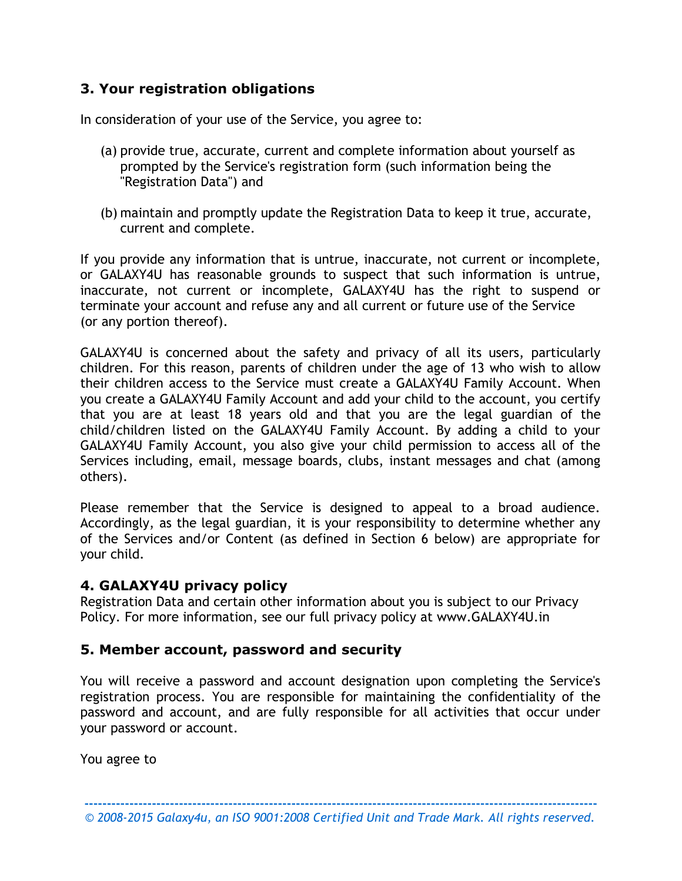### **3. Your registration obligations**

In consideration of your use of the Service, you agree to:

- (a) provide true, accurate, current and complete information about yourself as prompted by the Service's registration form (such information being the "Registration Data") and
- (b) maintain and promptly update the Registration Data to keep it true, accurate, current and complete.

If you provide any information that is untrue, inaccurate, not current or incomplete, or GALAXY4U has reasonable grounds to suspect that such information is untrue, inaccurate, not current or incomplete, GALAXY4U has the right to suspend or terminate your account and refuse any and all current or future use of the Service (or any portion thereof).

GALAXY4U is concerned about the safety and privacy of all its users, particularly children. For this reason, parents of children under the age of 13 who wish to allow their children access to the Service must create a GALAXY4U Family Account. When you create a GALAXY4U Family Account and add your child to the account, you certify that you are at least 18 years old and that you are the legal guardian of the child/children listed on the GALAXY4U Family Account. By adding a child to your GALAXY4U Family Account, you also give your child permission to access all of the Services including, email, message boards, clubs, instant messages and chat (among others).

Please remember that the Service is designed to appeal to a broad audience. Accordingly, as the legal guardian, it is your responsibility to determine whether any of the Services and/or Content (as defined in Section 6 below) are appropriate for your child.

#### **4. GALAXY4U privacy policy**

Registration Data and certain other information about you is subject to our Privacy Policy. For more information, see our full privacy policy at www.GALAXY4U.in

### **5. Member account, password and security**

You will receive a password and account designation upon completing the Service's registration process. You are responsible for maintaining the confidentiality of the password and account, and are fully responsible for all activities that occur under your password or account.

You agree to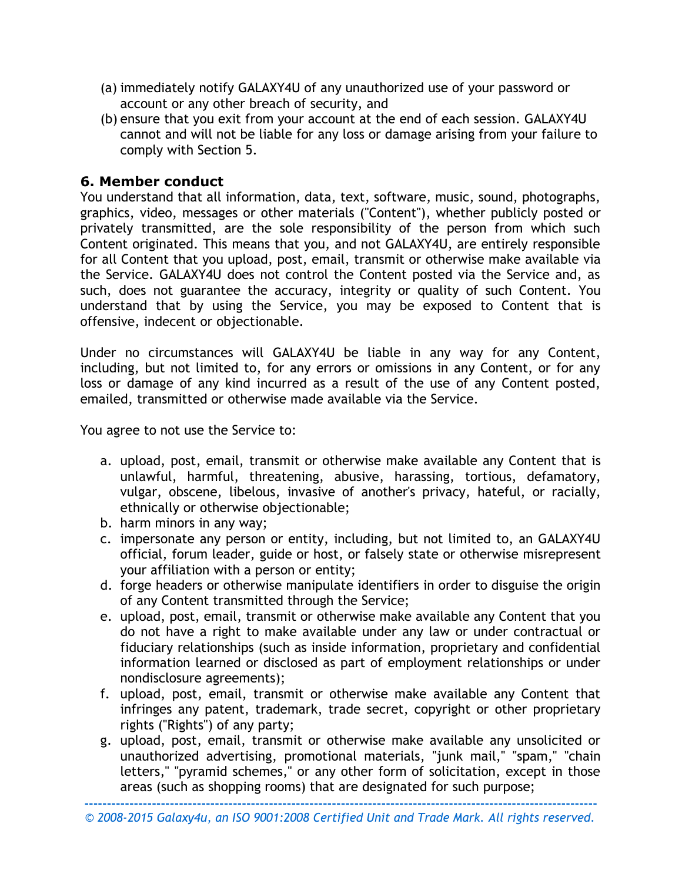- (a) immediately notify GALAXY4U of any unauthorized use of your password or account or any other breach of security, and
- (b) ensure that you exit from your account at the end of each session. GALAXY4U cannot and will not be liable for any loss or damage arising from your failure to comply with Section 5.

### **6. Member conduct**

You understand that all information, data, text, software, music, sound, photographs, graphics, video, messages or other materials ("Content"), whether publicly posted or privately transmitted, are the sole responsibility of the person from which such Content originated. This means that you, and not GALAXY4U, are entirely responsible for all Content that you upload, post, email, transmit or otherwise make available via the Service. GALAXY4U does not control the Content posted via the Service and, as such, does not guarantee the accuracy, integrity or quality of such Content. You understand that by using the Service, you may be exposed to Content that is offensive, indecent or objectionable.

Under no circumstances will GALAXY4U be liable in any way for any Content, including, but not limited to, for any errors or omissions in any Content, or for any loss or damage of any kind incurred as a result of the use of any Content posted, emailed, transmitted or otherwise made available via the Service.

You agree to not use the Service to:

- a. upload, post, email, transmit or otherwise make available any Content that is unlawful, harmful, threatening, abusive, harassing, tortious, defamatory, vulgar, obscene, libelous, invasive of another's privacy, hateful, or racially, ethnically or otherwise objectionable;
- b. harm minors in any way;
- c. impersonate any person or entity, including, but not limited to, an GALAXY4U official, forum leader, guide or host, or falsely state or otherwise misrepresent your affiliation with a person or entity;
- d. forge headers or otherwise manipulate identifiers in order to disguise the origin of any Content transmitted through the Service;
- e. upload, post, email, transmit or otherwise make available any Content that you do not have a right to make available under any law or under contractual or fiduciary relationships (such as inside information, proprietary and confidential information learned or disclosed as part of employment relationships or under nondisclosure agreements);
- f. upload, post, email, transmit or otherwise make available any Content that infringes any patent, trademark, trade secret, copyright or other proprietary rights ("Rights") of any party;
- g. upload, post, email, transmit or otherwise make available any unsolicited or unauthorized advertising, promotional materials, "junk mail," "spam," "chain letters," "pyramid schemes," or any other form of solicitation, except in those areas (such as shopping rooms) that are designated for such purpose;

**<sup>------------------------------------------------------------------------------------------------------------------</sup>**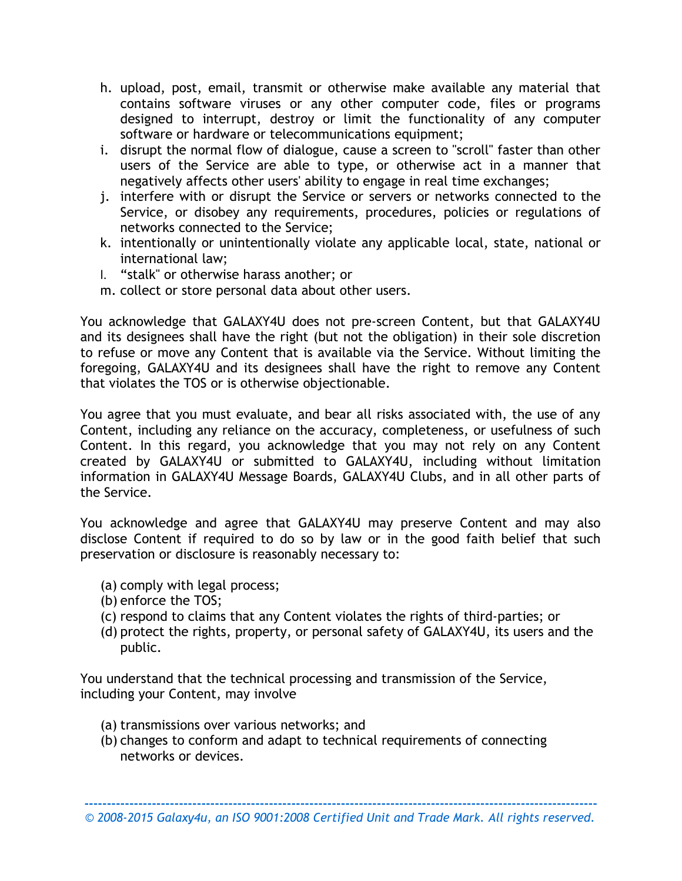- h. upload, post, email, transmit or otherwise make available any material that contains software viruses or any other computer code, files or programs designed to interrupt, destroy or limit the functionality of any computer software or hardware or telecommunications equipment;
- i. disrupt the normal flow of dialogue, cause a screen to "scroll" faster than other users of the Service are able to type, or otherwise act in a manner that negatively affects other users' ability to engage in real time exchanges;
- j. interfere with or disrupt the Service or servers or networks connected to the Service, or disobey any requirements, procedures, policies or regulations of networks connected to the Service;
- k. intentionally or unintentionally violate any applicable local, state, national or international law;
- l. "stalk" or otherwise harass another; or
- m. collect or store personal data about other users.

You acknowledge that GALAXY4U does not pre-screen Content, but that GALAXY4U and its designees shall have the right (but not the obligation) in their sole discretion to refuse or move any Content that is available via the Service. Without limiting the foregoing, GALAXY4U and its designees shall have the right to remove any Content that violates the TOS or is otherwise objectionable.

You agree that you must evaluate, and bear all risks associated with, the use of any Content, including any reliance on the accuracy, completeness, or usefulness of such Content. In this regard, you acknowledge that you may not rely on any Content created by GALAXY4U or submitted to GALAXY4U, including without limitation information in GALAXY4U Message Boards, GALAXY4U Clubs, and in all other parts of the Service.

You acknowledge and agree that GALAXY4U may preserve Content and may also disclose Content if required to do so by law or in the good faith belief that such preservation or disclosure is reasonably necessary to:

- (a) comply with legal process;
- (b) enforce the TOS;
- (c) respond to claims that any Content violates the rights of third-parties; or
- (d) protect the rights, property, or personal safety of GALAXY4U, its users and the public.

You understand that the technical processing and transmission of the Service, including your Content, may involve

- (a) transmissions over various networks; and
- (b) changes to conform and adapt to technical requirements of connecting networks or devices.

**------------------------------------------------------------------------------------------------------------------**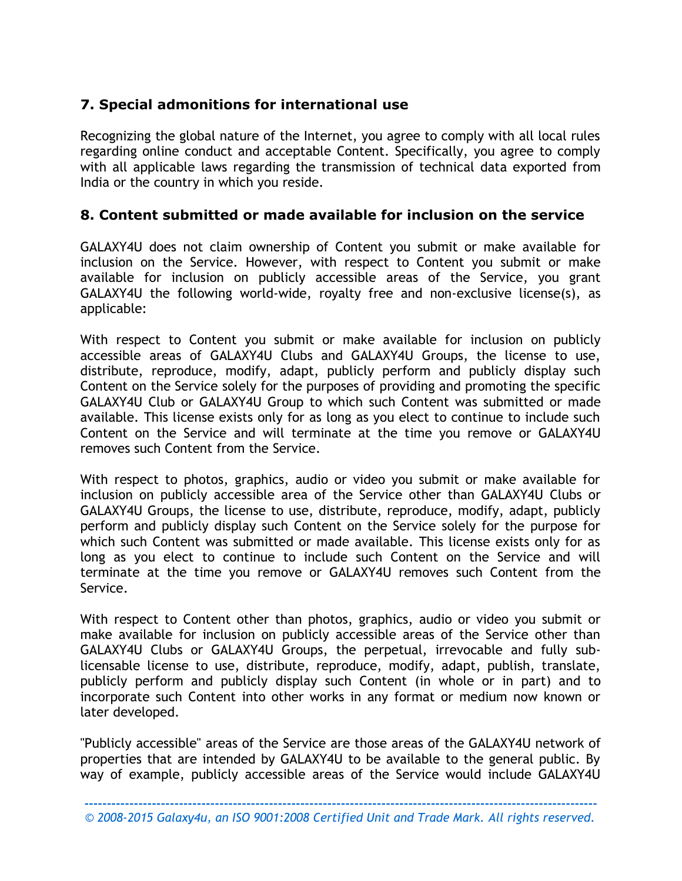### **7. Special admonitions for international use**

Recognizing the global nature of the Internet, you agree to comply with all local rules regarding online conduct and acceptable Content. Specifically, you agree to comply with all applicable laws regarding the transmission of technical data exported from India or the country in which you reside.

#### **8. Content submitted or made available for inclusion on the service**

GALAXY4U does not claim ownership of Content you submit or make available for inclusion on the Service. However, with respect to Content you submit or make available for inclusion on publicly accessible areas of the Service, you grant GALAXY4U the following world-wide, royalty free and non-exclusive license(s), as applicable:

With respect to Content you submit or make available for inclusion on publicly accessible areas of GALAXY4U Clubs and GALAXY4U Groups, the license to use, distribute, reproduce, modify, adapt, publicly perform and publicly display such Content on the Service solely for the purposes of providing and promoting the specific GALAXY4U Club or GALAXY4U Group to which such Content was submitted or made available. This license exists only for as long as you elect to continue to include such Content on the Service and will terminate at the time you remove or GALAXY4U removes such Content from the Service.

With respect to photos, graphics, audio or video you submit or make available for inclusion on publicly accessible area of the Service other than GALAXY4U Clubs or GALAXY4U Groups, the license to use, distribute, reproduce, modify, adapt, publicly perform and publicly display such Content on the Service solely for the purpose for which such Content was submitted or made available. This license exists only for as long as you elect to continue to include such Content on the Service and will terminate at the time you remove or GALAXY4U removes such Content from the Service.

With respect to Content other than photos, graphics, audio or video you submit or make available for inclusion on publicly accessible areas of the Service other than GALAXY4U Clubs or GALAXY4U Groups, the perpetual, irrevocable and fully sublicensable license to use, distribute, reproduce, modify, adapt, publish, translate, publicly perform and publicly display such Content (in whole or in part) and to incorporate such Content into other works in any format or medium now known or later developed.

"Publicly accessible" areas of the Service are those areas of the GALAXY4U network of properties that are intended by GALAXY4U to be available to the general public. By way of example, publicly accessible areas of the Service would include GALAXY4U

**------------------------------------------------------------------------------------------------------------------**

*© 2008-2015 Galaxy4u, an ISO 9001:2008 Certified Unit and Trade Mark. All rights reserved.*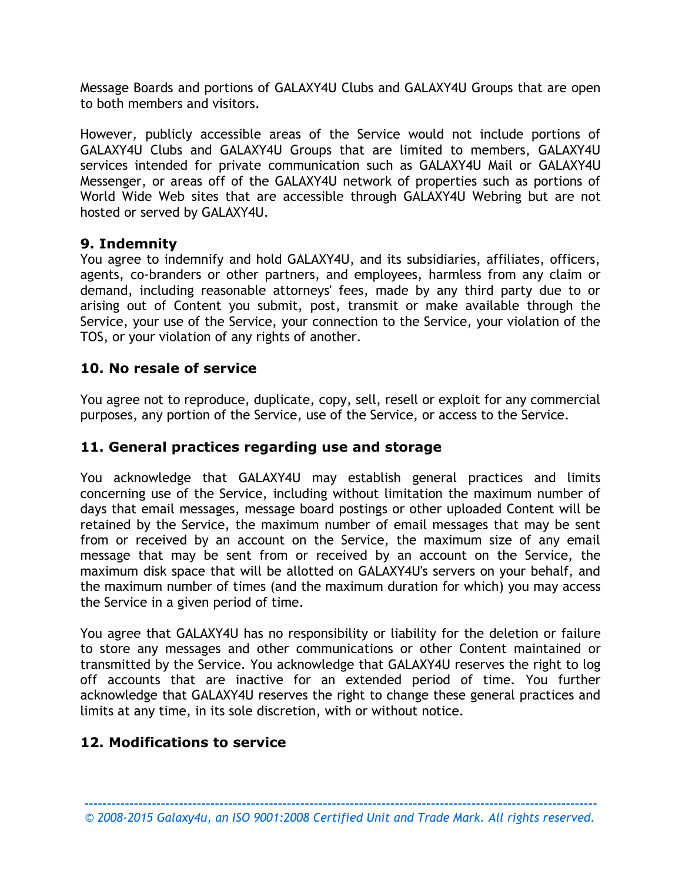Message Boards and portions of GALAXY4U Clubs and GALAXY4U Groups that are open to both members and visitors.

However, publicly accessible areas of the Service would not include portions of GALAXY4U Clubs and GALAXY4U Groups that are limited to members, GALAXY4U services intended for private communication such as GALAXY4U Mail or GALAXY4U Messenger, or areas off of the GALAXY4U network of properties such as portions of World Wide Web sites that are accessible through GALAXY4U Webring but are not hosted or served by GALAXY4U.

#### **9. Indemnity**

You agree to indemnify and hold GALAXY4U, and its subsidiaries, affiliates, officers, agents, co-branders or other partners, and employees, harmless from any claim or demand, including reasonable attorneys' fees, made by any third party due to or arising out of Content you submit, post, transmit or make available through the Service, your use of the Service, your connection to the Service, your violation of the TOS, or your violation of any rights of another.

### **10. No resale of service**

You agree not to reproduce, duplicate, copy, sell, resell or exploit for any commercial purposes, any portion of the Service, use of the Service, or access to the Service.

#### **11. General practices regarding use and storage**

You acknowledge that GALAXY4U may establish general practices and limits concerning use of the Service, including without limitation the maximum number of days that email messages, message board postings or other uploaded Content will be retained by the Service, the maximum number of email messages that may be sent from or received by an account on the Service, the maximum size of any email message that may be sent from or received by an account on the Service, the maximum disk space that will be allotted on GALAXY4U's servers on your behalf, and the maximum number of times (and the maximum duration for which) you may access the Service in a given period of time.

You agree that GALAXY4U has no responsibility or liability for the deletion or failure to store any messages and other communications or other Content maintained or transmitted by the Service. You acknowledge that GALAXY4U reserves the right to log off accounts that are inactive for an extended period of time. You further acknowledge that GALAXY4U reserves the right to change these general practices and limits at any time, in its sole discretion, with or without notice.

### **12. Modifications to service**

**------------------------------------------------------------------------------------------------------------------**

*© 2008-2015 Galaxy4u, an ISO 9001:2008 Certified Unit and Trade Mark. All rights reserved.*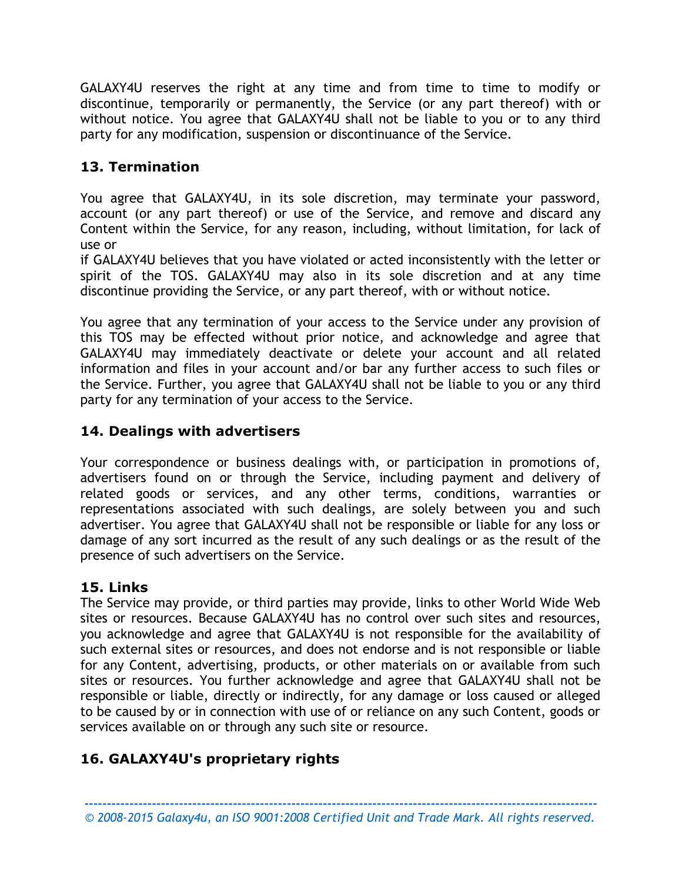GALAXY4U reserves the right at any time and from time to time to modify or discontinue, temporarily or permanently, the Service (or any part thereof) with or without notice. You agree that GALAXY4U shall not be liable to you or to any third party for any modification, suspension or discontinuance of the Service.

# **13. Termination**

You agree that GALAXY4U, in its sole discretion, may terminate your password, account (or any part thereof) or use of the Service, and remove and discard any Content within the Service, for any reason, including, without limitation, for lack of use or

if GALAXY4U believes that you have violated or acted inconsistently with the letter or spirit of the TOS. GALAXY4U may also in its sole discretion and at any time discontinue providing the Service, or any part thereof, with or without notice.

You agree that any termination of your access to the Service under any provision of this TOS may be effected without prior notice, and acknowledge and agree that GALAXY4U may immediately deactivate or delete your account and all related information and files in your account and/or bar any further access to such files or the Service. Further, you agree that GALAXY4U shall not be liable to you or any third party for any termination of your access to the Service.

### **14. Dealings with advertisers**

Your correspondence or business dealings with, or participation in promotions of, advertisers found on or through the Service, including payment and delivery of related goods or services, and any other terms, conditions, warranties or representations associated with such dealings, are solely between you and such advertiser. You agree that GALAXY4U shall not be responsible or liable for any loss or damage of any sort incurred as the result of any such dealings or as the result of the presence of such advertisers on the Service.

### **15. Links**

The Service may provide, or third parties may provide, links to other World Wide Web sites or resources. Because GALAXY4U has no control over such sites and resources, you acknowledge and agree that GALAXY4U is not responsible for the availability of such external sites or resources, and does not endorse and is not responsible or liable for any Content, advertising, products, or other materials on or available from such sites or resources. You further acknowledge and agree that GALAXY4U shall not be responsible or liable, directly or indirectly, for any damage or loss caused or alleged to be caused by or in connection with use of or reliance on any such Content, goods or services available on or through any such site or resource.

# **16. GALAXY4U's proprietary rights**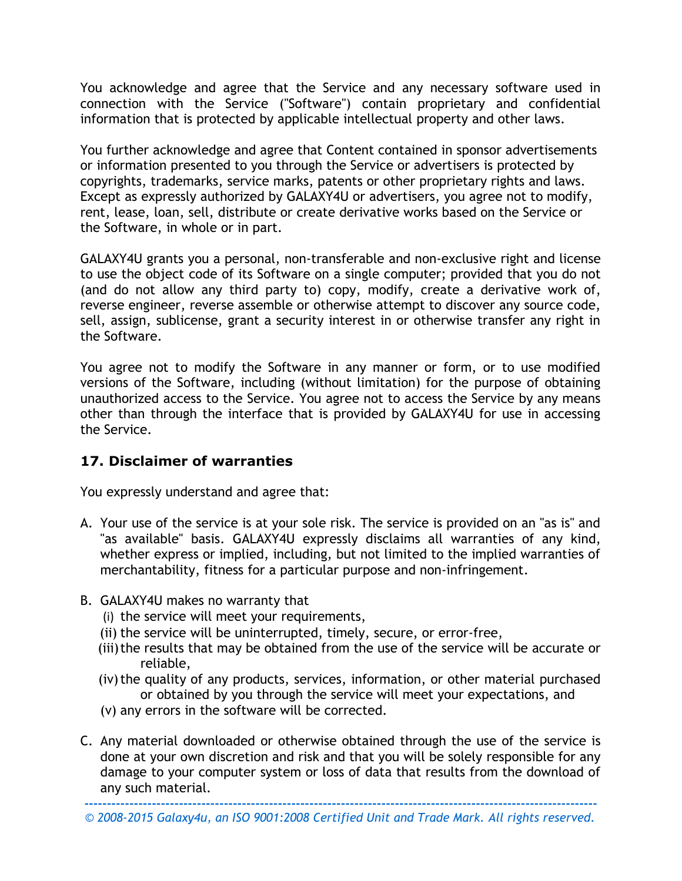You acknowledge and agree that the Service and any necessary software used in connection with the Service ("Software") contain proprietary and confidential information that is protected by applicable intellectual property and other laws.

You further acknowledge and agree that Content contained in sponsor advertisements or information presented to you through the Service or advertisers is protected by copyrights, trademarks, service marks, patents or other proprietary rights and laws. Except as expressly authorized by GALAXY4U or advertisers, you agree not to modify, rent, lease, loan, sell, distribute or create derivative works based on the Service or the Software, in whole or in part.

GALAXY4U grants you a personal, non-transferable and non-exclusive right and license to use the object code of its Software on a single computer; provided that you do not (and do not allow any third party to) copy, modify, create a derivative work of, reverse engineer, reverse assemble or otherwise attempt to discover any source code, sell, assign, sublicense, grant a security interest in or otherwise transfer any right in the Software.

You agree not to modify the Software in any manner or form, or to use modified versions of the Software, including (without limitation) for the purpose of obtaining unauthorized access to the Service. You agree not to access the Service by any means other than through the interface that is provided by GALAXY4U for use in accessing the Service.

# **17. Disclaimer of warranties**

You expressly understand and agree that:

- A. Your use of the service is at your sole risk. The service is provided on an "as is" and "as available" basis. GALAXY4U expressly disclaims all warranties of any kind, whether express or implied, including, but not limited to the implied warranties of merchantability, fitness for a particular purpose and non-infringement.
- B. GALAXY4U makes no warranty that
	- (i) the service will meet your requirements,
	- (ii) the service will be uninterrupted, timely, secure, or error-free,
	- (iii)the results that may be obtained from the use of the service will be accurate or reliable,
	- (iv) the quality of any products, services, information, or other material purchased or obtained by you through the service will meet your expectations, and
	- (v) any errors in the software will be corrected.
- C. Any material downloaded or otherwise obtained through the use of the service is done at your own discretion and risk and that you will be solely responsible for any damage to your computer system or loss of data that results from the download of any such material.

**------------------------------------------------------------------------------------------------------------------**

*© 2008-2015 Galaxy4u, an ISO 9001:2008 Certified Unit and Trade Mark. All rights reserved.*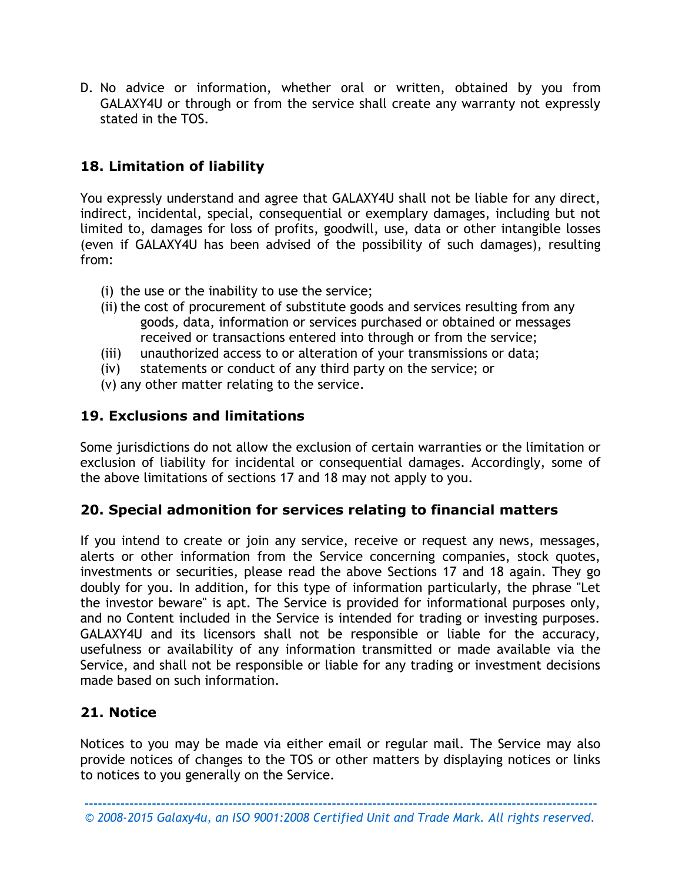D. No advice or information, whether oral or written, obtained by you from GALAXY4U or through or from the service shall create any warranty not expressly stated in the TOS.

### **18. Limitation of liability**

You expressly understand and agree that GALAXY4U shall not be liable for any direct, indirect, incidental, special, consequential or exemplary damages, including but not limited to, damages for loss of profits, goodwill, use, data or other intangible losses (even if GALAXY4U has been advised of the possibility of such damages), resulting from:

- (i) the use or the inability to use the service;
- (ii) the cost of procurement of substitute goods and services resulting from any goods, data, information or services purchased or obtained or messages received or transactions entered into through or from the service;
- (iii) unauthorized access to or alteration of your transmissions or data;
- (iv) statements or conduct of any third party on the service; or
- (v) any other matter relating to the service.

### **19. Exclusions and limitations**

Some jurisdictions do not allow the exclusion of certain warranties or the limitation or exclusion of liability for incidental or consequential damages. Accordingly, some of the above limitations of sections 17 and 18 may not apply to you.

### **20. Special admonition for services relating to financial matters**

If you intend to create or join any service, receive or request any news, messages, alerts or other information from the Service concerning companies, stock quotes, investments or securities, please read the above Sections 17 and 18 again. They go doubly for you. In addition, for this type of information particularly, the phrase "Let the investor beware" is apt. The Service is provided for informational purposes only, and no Content included in the Service is intended for trading or investing purposes. GALAXY4U and its licensors shall not be responsible or liable for the accuracy, usefulness or availability of any information transmitted or made available via the Service, and shall not be responsible or liable for any trading or investment decisions made based on such information.

### **21. Notice**

Notices to you may be made via either email or regular mail. The Service may also provide notices of changes to the TOS or other matters by displaying notices or links to notices to you generally on the Service.

**------------------------------------------------------------------------------------------------------------------**

*<sup>© 2008-2015</sup> Galaxy4u, an ISO 9001:2008 Certified Unit and Trade Mark. All rights reserved.*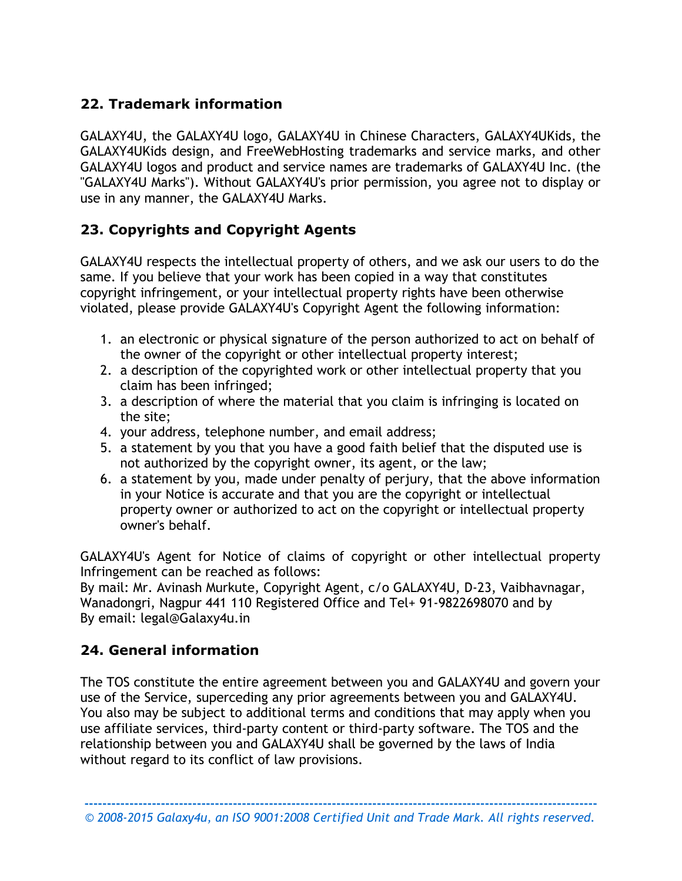# **22. Trademark information**

GALAXY4U, the GALAXY4U logo, GALAXY4U in Chinese Characters, GALAXY4UKids, the GALAXY4UKids design, and FreeWebHosting trademarks and service marks, and other GALAXY4U logos and product and service names are trademarks of GALAXY4U Inc. (the "GALAXY4U Marks"). Without GALAXY4U's prior permission, you agree not to display or use in any manner, the GALAXY4U Marks.

# **23. Copyrights and Copyright Agents**

GALAXY4U respects the intellectual property of others, and we ask our users to do the same. If you believe that your work has been copied in a way that constitutes copyright infringement, or your intellectual property rights have been otherwise violated, please provide GALAXY4U's Copyright Agent the following information:

- 1. an electronic or physical signature of the person authorized to act on behalf of the owner of the copyright or other intellectual property interest;
- 2. a description of the copyrighted work or other intellectual property that you claim has been infringed;
- 3. a description of where the material that you claim is infringing is located on the site;
- 4. your address, telephone number, and email address;
- 5. a statement by you that you have a good faith belief that the disputed use is not authorized by the copyright owner, its agent, or the law;
- 6. a statement by you, made under penalty of perjury, that the above information in your Notice is accurate and that you are the copyright or intellectual property owner or authorized to act on the copyright or intellectual property owner's behalf.

GALAXY4U's Agent for Notice of claims of copyright or other intellectual property Infringement can be reached as follows:

By mail: Mr. Avinash Murkute, Copyright Agent, c/o GALAXY4U, D-23, Vaibhavnagar, Wanadongri, Nagpur 441 110 Registered Office and Tel+ 91-9822698070 and by By email: legal@Galaxy4u.in

# **24. General information**

The TOS constitute the entire agreement between you and GALAXY4U and govern your use of the Service, superceding any prior agreements between you and GALAXY4U. You also may be subject to additional terms and conditions that may apply when you use affiliate services, third-party content or third-party software. The TOS and the relationship between you and GALAXY4U shall be governed by the laws of India without regard to its conflict of law provisions.